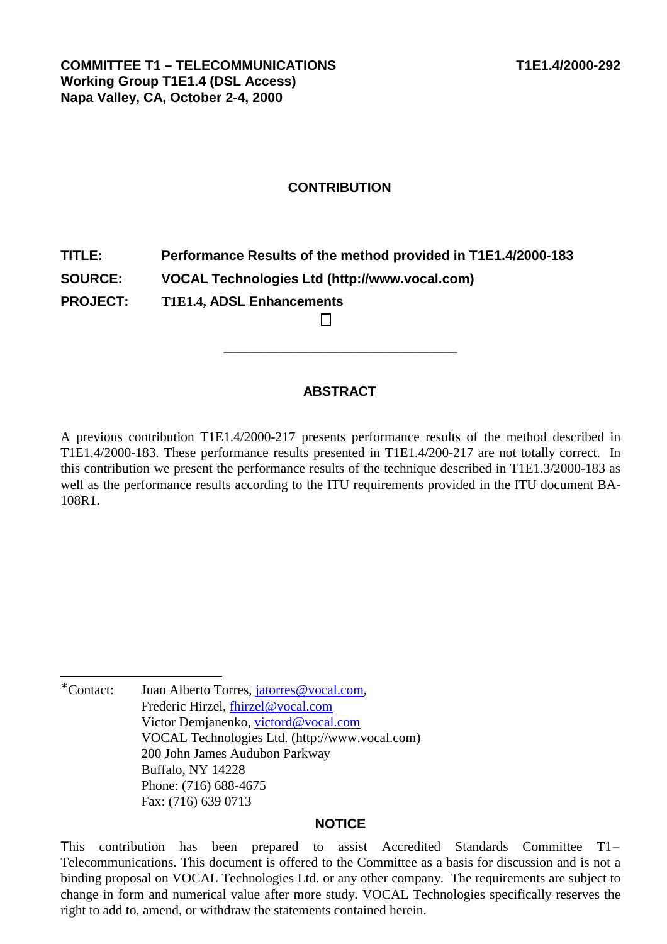# **CONTRIBUTION**

**TITLE: Performance Results of the method provided in T1E1.4/2000-183 SOURCE: VOCAL Technologies Ltd [\(http://www.vocal.com\)](http://www.vocal.com) PROJECT: T1E1.4, ADSL Enhancements** 

## **ABSTRACT**

**\_\_\_\_\_\_\_\_\_\_\_\_\_\_\_\_\_\_\_\_\_\_\_\_\_\_\_\_\_\_\_** 

A previous contribution T1E1.4/2000-217 presents performance results of the method described in T1E1.4/2000-183. These performance results presented in T1E1.4/200-217 are not totally correct. In this contribution we present the performance results of the technique described in T1E1.3/2000-183 as well as the performance results according to the ITU requirements provided in the ITU document BA-108R1.

\* Contact∙ Juan Alberto Torres, jatorres@vocal.com, Frederic Hirzel, fhirzel@vocal.com Victor Demjanenko, victord@vocal.com VOCAL Technologies Ltd. [\(http://www.vocal.com\)](http://www.vocal.com) 200 John James Audubon Parkway Buffalo, NY 14228 Phone: (716) 688-4675 Fax: (716) 639 0713

l

#### **NOTICE**

This contribution has been prepared to assist Accredited Standards Committee T1– Telecommunications. This document is offered to the Committee as a basis for discussion and is not a binding proposal on VOCAL Technologies Ltd. or any other company. The requirements are subject to change in form and numerical value after more study. VOCAL Technologies specifically reserves the right to add to, amend, or withdraw the statements contained herein.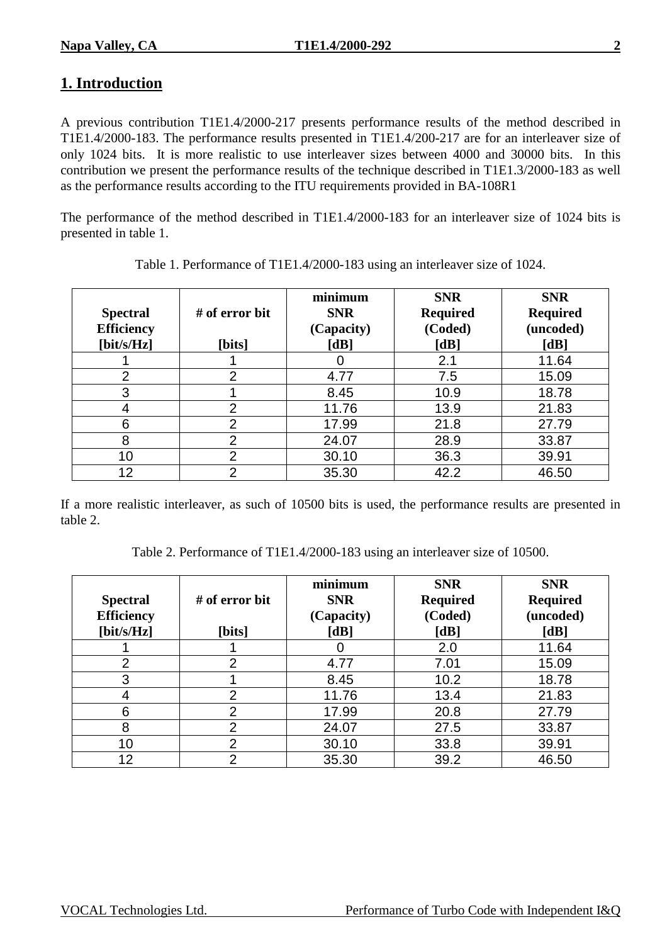# **1. Introduction**

A previous contribution T1E1.4/2000-217 presents performance results of the method described in T1E1.4/2000-183. The performance results presented in T1E1.4/200-217 are for an interleaver size of only 1024 bits. It is more realistic to use interleaver sizes between 4000 and 30000 bits. In this contribution we present the performance results of the technique described in T1E1.3/2000-183 as well as the performance results according to the ITU requirements provided in BA-108R1

The performance of the method described in T1E1.4/2000-183 for an interleaver size of 1024 bits is presented in table 1.

| <b>Spectral</b><br><b>Efficiency</b><br>$[\text{bit/s/Hz}]$ | # of error bit<br>[bits] | minimum<br><b>SNR</b><br>(Capacity)<br>[dB] | <b>SNR</b><br><b>Required</b><br>(Coded)<br>[dB] | <b>SNR</b><br><b>Required</b><br>(uncoded)<br>[dB] |
|-------------------------------------------------------------|--------------------------|---------------------------------------------|--------------------------------------------------|----------------------------------------------------|
|                                                             |                          |                                             | 2.1                                              | 11.64                                              |
| $\overline{2}$                                              | $\overline{2}$           | 4.77                                        | 7.5                                              | 15.09                                              |
| 3                                                           |                          | 8.45                                        | 10.9                                             | 18.78                                              |
|                                                             | $\overline{2}$           | 11.76                                       | 13.9                                             | 21.83                                              |
| 6                                                           | $\overline{2}$           | 17.99                                       | 21.8                                             | 27.79                                              |
| 8                                                           | $\overline{2}$           | 24.07                                       | 28.9                                             | 33.87                                              |
| 10                                                          | $\overline{2}$           | 30.10                                       | 36.3                                             | 39.91                                              |
| 12                                                          | っ                        | 35.30                                       | 42.2                                             | 46.50                                              |

Table 1. Performance of T1E1.4/2000-183 using an interleaver size of 1024.

If a more realistic interleaver, as such of 10500 bits is used, the performance results are presented in table 2.

Table 2. Performance of T1E1.4/2000-183 using an interleaver size of 10500.

| <b>Spectral</b><br><b>Efficiency</b><br>$[\text{bit/s/Hz}]$ | $#$ of error bit<br>[bits] | minimum<br><b>SNR</b><br>(Capacity)<br>[dB] | <b>SNR</b><br><b>Required</b><br>(Coded)<br>[dB] | <b>SNR</b><br><b>Required</b><br>(uncoded)<br>[dB] |
|-------------------------------------------------------------|----------------------------|---------------------------------------------|--------------------------------------------------|----------------------------------------------------|
|                                                             |                            |                                             | 2.0                                              | 11.64                                              |
| $\overline{2}$                                              | $\overline{2}$             | 4.77                                        | 7.01                                             | 15.09                                              |
| 3                                                           |                            | 8.45                                        | 10.2                                             | 18.78                                              |
|                                                             | $\overline{2}$             | 11.76                                       | 13.4                                             | 21.83                                              |
| 6                                                           | $\overline{2}$             | 17.99                                       | 20.8                                             | 27.79                                              |
| 8                                                           | $\overline{2}$             | 24.07                                       | 27.5                                             | 33.87                                              |
| 10                                                          | $\overline{2}$             | 30.10                                       | 33.8                                             | 39.91                                              |
| 12                                                          | $\overline{2}$             | 35.30                                       | 39.2                                             | 46.50                                              |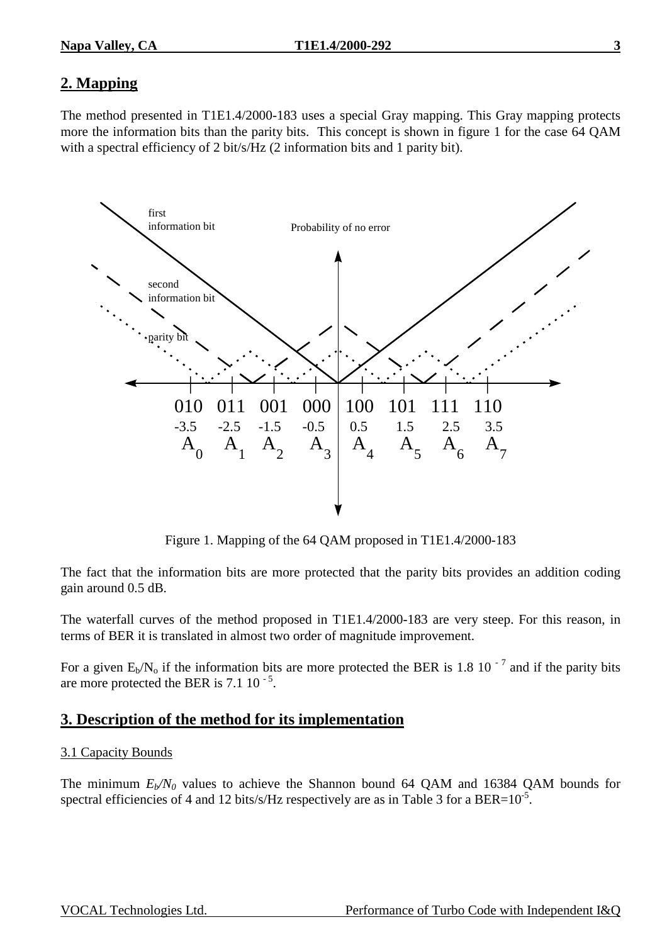# **2. Mapping**

The method presented in T1E1.4/2000-183 uses a special Gray mapping. This Gray mapping protects more the information bits than the parity bits. This concept is shown in figure 1 for the case 64 QAM with a spectral efficiency of 2 bit/s/Hz (2 information bits and 1 parity bit).



Figure 1. Mapping of the 64 QAM proposed in T1E1.4/2000-183

The fact that the information bits are more protected that the parity bits provides an addition coding gain around 0.5 dB.

The waterfall curves of the method proposed in T1E1.4/2000-183 are very steep. For this reason, in terms of BER it is translated in almost two order of magnitude improvement.

For a given  $E_b/N_o$  if the information bits are more protected the BER is 1.8 10<sup>-7</sup> and if the parity bits are more protected the BER is  $7.1 \times 10^{-5}$ .

# **3. Description of the method for its implementation**

#### 3.1 Capacity Bounds

The minimum  $E_b/N_0$  values to achieve the Shannon bound 64 QAM and 16384 QAM bounds for spectral efficiencies of 4 and 12 bits/s/Hz respectively are as in Table 3 for a BER= $10^{-5}$ .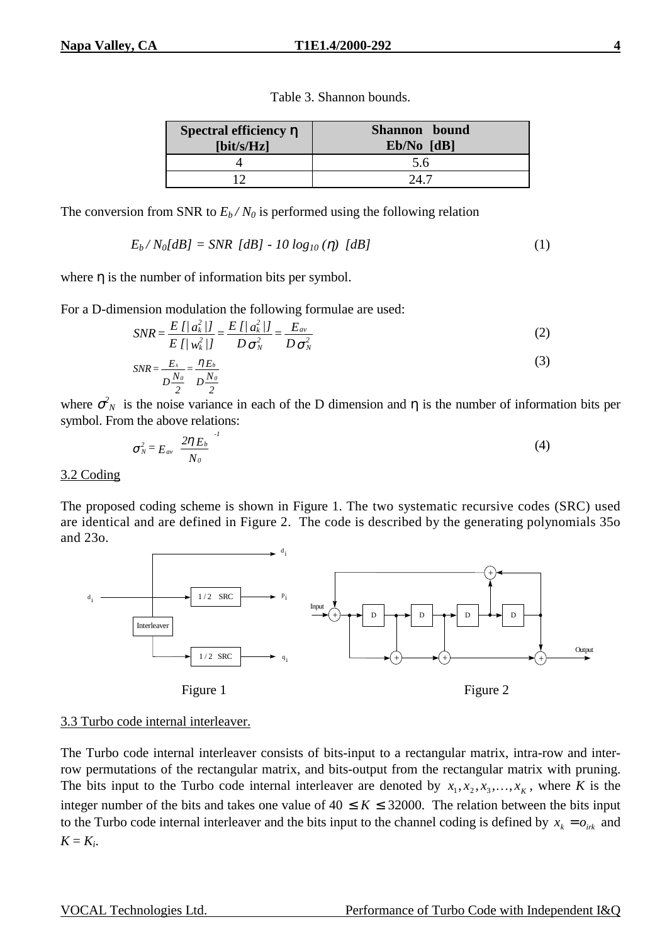| Spectral efficiency $\eta$<br>$[\text{bit/s/Hz}]$ | Shannon bound<br>$Eb/No$ $[dB]$ |
|---------------------------------------------------|---------------------------------|
|                                                   | 5.6                             |
|                                                   |                                 |

Table 3. Shannon bounds.

The conversion from SNR to  $E_b/N_0$  is performed using the following relation

$$
E_b/N_0[dB] = SNR [dB] - 10 log_{10}(\eta) [dB]
$$
 (1)

where  $\eta$  is the number of information bits per symbol.

For a D-dimension modulation the following formulae are used:

$$
SNR = \frac{E\left[|a_k^2|I\right]}{E\left[|w_k^2|I\right]} = \frac{E\left[|a_k^2|I\right]}{D\sigma_N^2} = \frac{E_{av}}{D\sigma_N^2}
$$
(2)

$$
SNR = \frac{E_s}{D\frac{N_o}{2}} = \frac{\eta E_b}{D\frac{N_o}{2}}
$$
\n
$$
(3)
$$

where  $\sigma_N^2$  is the noise variance in each of the D dimension and  $\eta$  is the number of information bits per symbol. From the above relations:

$$
\sigma_N^2 = E_{av} \left( \frac{2 \eta \, E_b}{N_o} \right)^l \tag{4}
$$

3.2 Coding

The proposed coding scheme is shown in Figure 1. The two systematic recursive codes (SRC) used are identical and are defined in Figure 2. The code is described by the generating polynomials 35o and 23o.



#### 3.3 Turbo code internal interleaver.

The Turbo code internal interleaver consists of bits-input to a rectangular matrix, intra-row and interrow permutations of the rectangular matrix, and bits-output from the rectangular matrix with pruning. The bits input to the Turbo code internal interleaver are denoted by  $x_1, x_2, x_3, \ldots, x_k$ , where *K* is the integer number of the bits and takes one value of  $40 \le K \le 32000$ . The relation between the bits input to the Turbo code internal interleaver and the bits input to the channel coding is defined by  $x_k = o_{i+k}$  and  $K = K_i$ .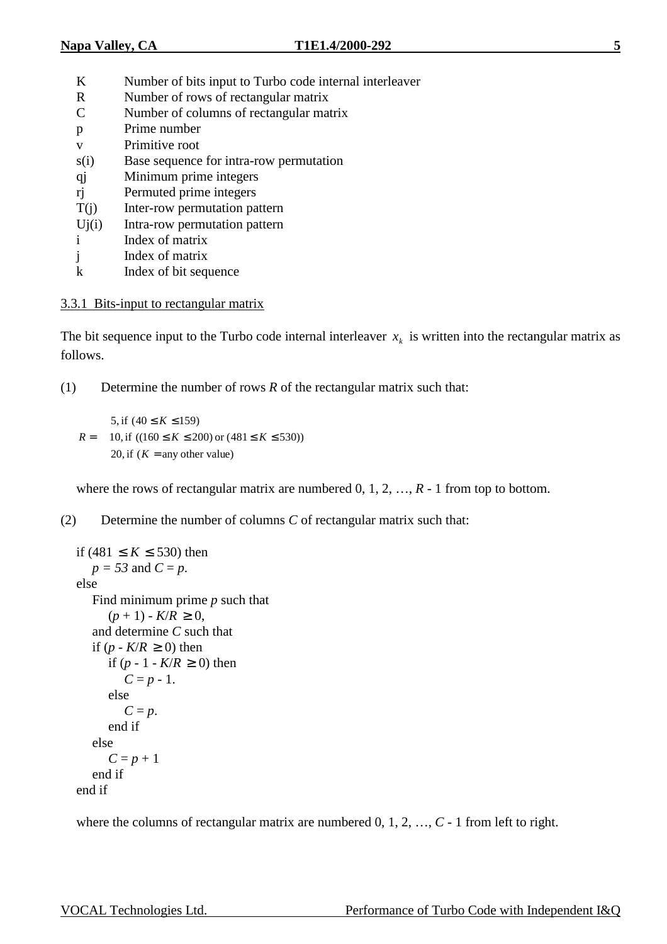- K Number of bits input to Turbo code internal interleaver
- R Number of rows of rectangular matrix
- C Number of columns of rectangular matrix
- p Prime number v Primitive root
- s(i) Base sequence for intra-row permutation
- qj Minimum prime integers
- rj Permuted prime integers
- T(j) Inter-row permutation pattern
- Uj(i) Intra-row permutation pattern
- i Index of matrix
- j Index of matrix
- k Index of bit sequence

## 3.3.1 Bits-input to rectangular matrix

The bit sequence input to the Turbo code internal interleaver  $x_k$  is written into the rectangular matrix as follows.

(1) Determine the number of rows *R* of the rectangular matrix such that:

 $\mathsf{I}$  $\mathbf{I}$ ₹  $\mathbf{I}$ =  $\leq K \leq 200$ ) or  $(481 \leq K \leq$  $\leq K \leq$ = 20, if  $(K = \text{any other value})$ 10, if  $((160 \le K \le 200)$  or  $(481 \le K \le 530)$ ) 5, if  $(40 \le K \le 159)$ *K*  $K \le 200$ ) or  $(481 \le K$ *K R*

where the rows of rectangular matrix are numbered 0, 1, 2, ...,  $R - 1$  from top to bottom.

(2) Determine the number of columns *C* of rectangular matrix such that:

```
if (481 ≤ K ≤ 530) then 
  p = 53 and C = p.
else 
  Find minimum prime p such that 
      (p + 1) - K/R \ge 0,
  and determine C such that 
  if (p - K/R \ge 0) then
      if (p − 1 − K/R ≥ 0) then
         C = p - 1.
      else 
         C = p.
      end if 
  else 
      C = p + 1end if 
end if
```
where the columns of rectangular matrix are numbered 0, 1, 2, ...,  $C$  - 1 from left to right.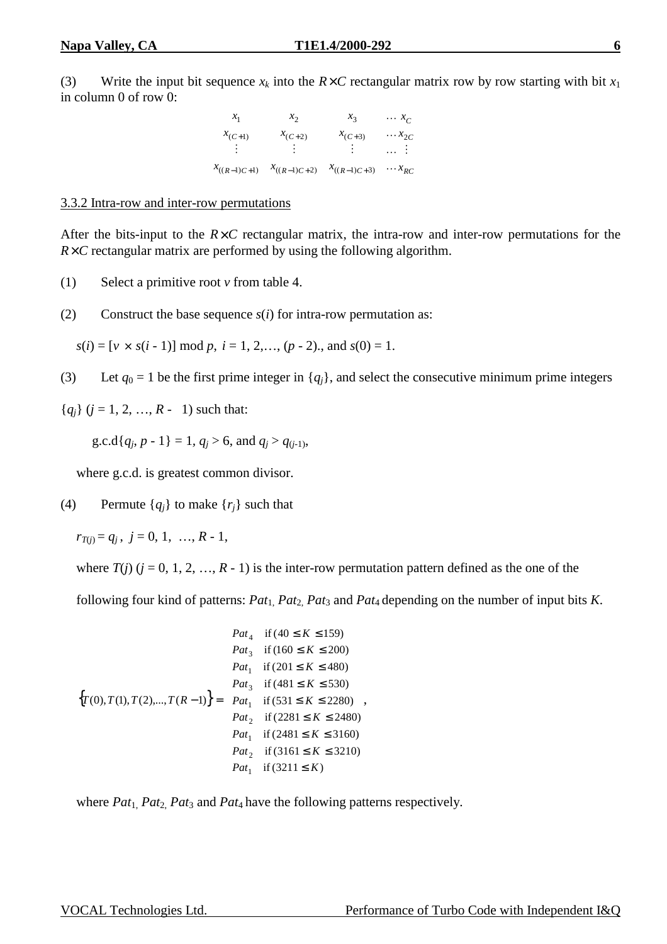(3) Write the input bit sequence  $x_k$  into the  $R \times C$  rectangular matrix row by row starting with bit  $x_1$ in column 0 of row 0:

| $x_1$            | $x_2$            | $x_3$            | $\cdots x_c$    |
|------------------|------------------|------------------|-----------------|
| $x_{(C+1)}$      | $x_{(C+2)}$      | $x_{(C+3)}$      | $\cdots x_{2C}$ |
|                  |                  |                  | $\cdots$ : 1    |
| $x_{((R-1)C+1)}$ | $x_{((R-1)C+2)}$ | $x_{((R-1)C+3)}$ | $\cdots x_{RC}$ |

#### 3.3.2 Intra-row and inter-row permutations

After the bits-input to the  $R \times C$  rectangular matrix, the intra-row and inter-row permutations for the  $R \times C$  rectangular matrix are performed by using the following algorithm.

- (1) Select a primitive root *v* from table 4.
- (2) Construct the base sequence  $s(i)$  for intra-row permutation as:

 $s(i) = [v \times s(i-1)] \mod p, i = 1, 2, \ldots, (p-2)$ , and  $s(0) = 1$ .

(3) Let  $q_0 = 1$  be the first prime integer in  $\{q_i\}$ , and select the consecutive minimum prime integers

 ${q_i}$  ( $j = 1, 2, ..., R - 1$ ) such that:

g.c.d{ $q_j$ ,  $p - 1$ } = 1,  $q_j > 6$ , and  $q_j > q_{(i-1)}$ ,

where g.c.d. is greatest common divisor.

(4) Permute  ${q_i}$  to make  ${r_i}$  such that

 $r_{T(i)} = q_i, j = 0, 1, ..., R - 1,$ 

where  $T(j)$  ( $j = 0, 1, 2, ..., R - 1$ ) is the inter-row permutation pattern defined as the one of the

following four kind of patterns: *Pat*1, *Pat*2, *Pat*3 and *Pat*4 depending on the number of input bits *K*.

$$
\left\{ T(0), T(1), T(2), \dots, T(R-1) \right\} = \begin{cases} Pat_4 & \text{if } (40 \le K \le 159) \\ Pat_3 & \text{if } (160 \le K \le 200) \\ Pat_1 & \text{if } (201 \le K \le 480) \\ Pat_3 & \text{if } (481 \le K \le 530) \\ Pat_1 & \text{if } (531 \le K \le 2280) \\ Pat_2 & \text{if } (2281 \le K \le 2480) \\ Pat_1 & \text{if } (2481 \le K \le 3160) \\ Pat_2 & \text{if } (3161 \le K \le 3210) \\ Pat_1 & \text{if } (3211 \le K) \end{cases}
$$

where *Pat*<sub>1</sub>, *Pat*<sub>2</sub>, *Pat*<sub>3</sub> and *Pat*<sub>4</sub> have the following patterns respectively.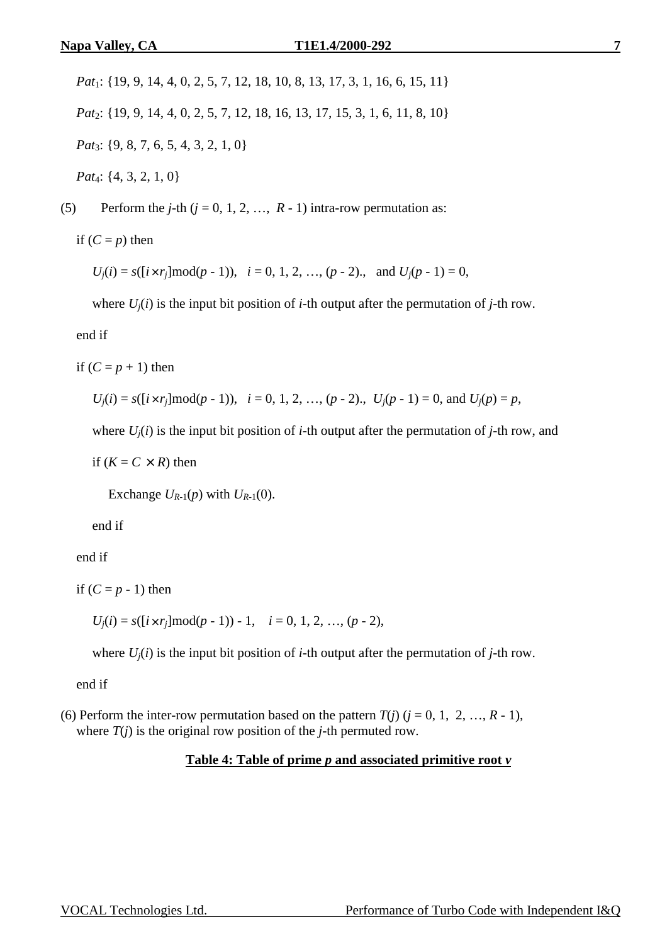*Pat*1: {19, 9, 14, 4, 0, 2, 5, 7, 12, 18, 10, 8, 13, 17, 3, 1, 16, 6, 15, 11} *Pat*<sub>2</sub>: {19, 9, 14, 4, 0, 2, 5, 7, 12, 18, 16, 13, 17, 15, 3, 1, 6, 11, 8, 10} *Pat*<sub>3</sub>: {9, 8, 7, 6, 5, 4, 3, 2, 1, 0} *Pat*4: {4, 3, 2, 1, 0}

(5) Perform the *j*-th  $(j = 0, 1, 2, ..., R - 1)$  intra-row permutation as:

if  $(C = p)$  then

 $U_i(i) = s([i \times r_i] \mod (p-1)), i = 0, 1, 2, ..., (p-2), \text{ and } U_i(p-1) = 0,$ 

where  $U_i(i)$  is the input bit position of *i*-th output after the permutation of *j*-th row.

end if

if  $(C = p + 1)$  then

 $U_i(i) = s([i \times r_i] \mod (p-1)), \quad i = 0, 1, 2, ..., (p-2), \quad U_i(p-1) = 0, \text{ and } U_i(p) = p,$ 

where  $U_i(i)$  is the input bit position of *i*-th output after the permutation of *j*-th row, and

if  $(K = C \times R)$  then

Exchange  $U_{R-1}(p)$  with  $U_{R-1}(0)$ .

end if

end if

if  $(C = p - 1)$  then

 $U_i(i) = s([i \times r_i] \mod (p-1)) - 1, \quad i = 0, 1, 2, \ldots, (p-2),$ 

where  $U_i(i)$  is the input bit position of *i*-th output after the permutation of *j*-th row.

end if

(6) Perform the inter-row permutation based on the pattern  $T(i)$  ( $i = 0, 1, 2, ..., R - 1$ ), where  $T(j)$  is the original row position of the *j*-th permuted row.

#### **Table 4: Table of prime** *p* **and associated primitive root** *v*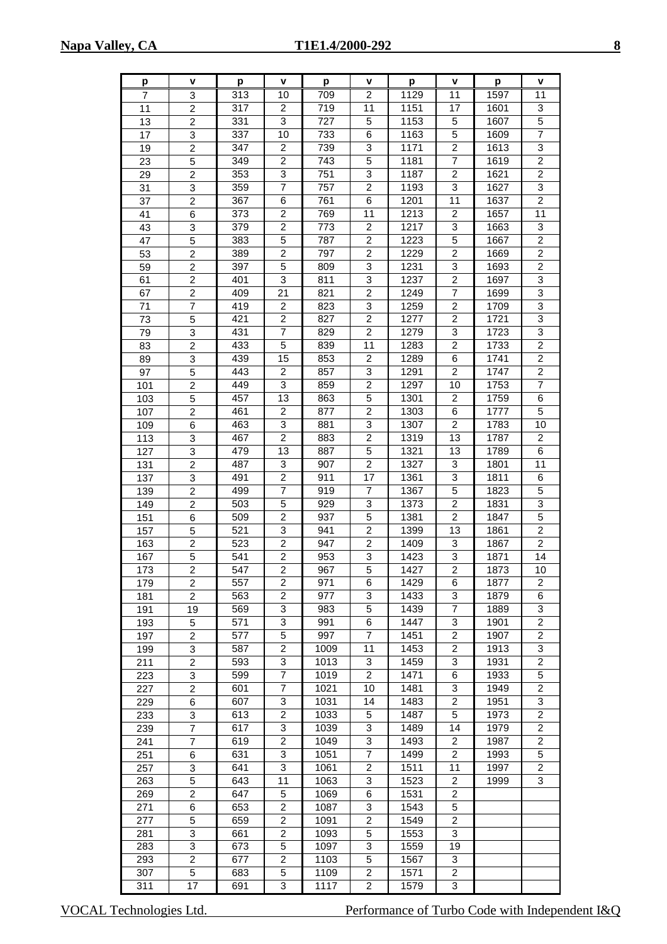| p   | v                         | р   | V                       | р                | v                       | p    | v                       | p    | v                       |
|-----|---------------------------|-----|-------------------------|------------------|-------------------------|------|-------------------------|------|-------------------------|
| 7   | 3                         | 313 | 10                      | 709              | 2                       | 1129 | 11                      | 1597 | 11                      |
| 11  | $\overline{c}$            | 317 | $\overline{c}$          | 719              | 11                      | 1151 | 17                      | 1601 | 3                       |
| 13  | $\overline{\mathbf{c}}$   | 331 | 3                       | 727              | 5                       | 1153 | 5                       | 1607 | 5                       |
| 17  | $\ensuremath{\mathsf{3}}$ | 337 | 10                      | 733              | 6                       | 1163 | 5                       | 1609 | 7                       |
| 19  | $\overline{c}$            | 347 | $\overline{2}$          | 739              | 3                       | 1171 | 2                       | 1613 | 3                       |
| 23  | 5                         | 349 | 2                       | 743              | 5                       | 1181 | 7                       | 1619 | $\overline{c}$          |
| 29  | $\overline{c}$            | 353 | 3                       | 751              | 3                       | 1187 | 2                       | 1621 | $\overline{\mathbf{c}}$ |
| 31  | 3                         | 359 | 7                       | 757              | $\overline{\mathbf{c}}$ | 1193 | 3                       | 1627 | 3                       |
| 37  | $\overline{c}$            | 367 | 6                       | 761              | 6                       | 1201 | 11                      | 1637 | $\overline{\mathbf{c}}$ |
| 41  | 6                         | 373 | $\overline{\mathbf{c}}$ | 769              | 11                      | 1213 | $\overline{c}$          | 1657 | 11                      |
| 43  | $\ensuremath{\mathsf{3}}$ | 379 | $\overline{2}$          | $\overline{773}$ | $\overline{\mathbf{c}}$ | 1217 | 3                       | 1663 | 3                       |
| 47  | 5                         | 383 | 5                       | 787              | 2                       | 1223 | 5                       | 1667 | $\overline{\mathbf{c}}$ |
| 53  | $\overline{c}$            | 389 | $\overline{2}$          | 797              | $\overline{c}$          | 1229 | $\overline{c}$          | 1669 | $\overline{c}$          |
| 59  | $\overline{c}$            | 397 | 5                       | 809              | 3                       | 1231 | 3                       | 1693 | $\overline{c}$          |
| 61  | $\overline{c}$            | 401 | 3                       | 811              | 3                       | 1237 | $\overline{c}$          | 1697 | 3                       |
| 67  | $\overline{c}$            | 409 | 21                      | 821              | $\overline{c}$          | 1249 | $\overline{7}$          | 1699 | 3                       |
| 71  | $\overline{7}$            | 419 | $\overline{c}$          | 823              | 3                       | 1259 | $\overline{c}$          | 1709 | 3                       |
| 73  | 5                         | 421 | $\overline{2}$          | 827              | $\overline{c}$          | 1277 | 2                       | 1721 | 3                       |
| 79  | 3                         | 431 | $\overline{7}$          | 829              | $\overline{2}$          | 1279 | 3                       | 1723 | 3                       |
| 83  | $\overline{2}$            | 433 | $\overline{5}$          | 839              | 11                      | 1283 | $\overline{c}$          | 1733 | $\overline{2}$          |
| 89  | 3                         | 439 | 15                      | 853              | 2                       | 1289 | 6                       | 1741 | $\overline{c}$          |
| 97  | 5                         | 443 | $\overline{c}$          | 857              | 3                       | 1291 | $\overline{c}$          | 1747 | $\overline{\mathbf{c}}$ |
| 101 | $\overline{c}$            | 449 | $\overline{3}$          | 859              | $\overline{\mathbf{c}}$ | 1297 | 10                      | 1753 | $\overline{7}$          |
| 103 | 5                         | 457 | 13                      | 863              | 5                       | 1301 | 2                       | 1759 | 6                       |
| 107 | $\overline{c}$            | 461 | $\overline{c}$          | 877              | $\overline{c}$          | 1303 | 6                       | 1777 | 5                       |
| 109 | 6                         | 463 | 3                       | 881              | 3                       | 1307 | $\overline{c}$          | 1783 | 10                      |
| 113 | $\ensuremath{\mathsf{3}}$ | 467 | $\overline{2}$          | 883              | $\overline{2}$          | 1319 | 13                      | 1787 | $\overline{2}$          |
| 127 | 3                         | 479 | 13                      | 887              | 5                       | 1321 | 13                      | 1789 | 6                       |
| 131 | $\overline{c}$            | 487 | 3                       | 907              | 2                       | 1327 | 3                       | 1801 | 11                      |
| 137 | $\ensuremath{\mathsf{3}}$ | 491 | $\overline{c}$          | 911              | 17                      | 1361 | 3                       | 1811 | 6                       |
| 139 | $\overline{c}$            | 499 | 7                       | 919              | 7                       | 1367 | 5                       | 1823 | 5                       |
| 149 | $\overline{c}$            | 503 | 5                       | 929              | 3                       | 1373 | $\overline{\mathbf{c}}$ | 1831 | 3                       |
| 151 | 6                         | 509 | $\overline{\mathbf{c}}$ | 937              | 5                       | 1381 | $\overline{c}$          | 1847 | $\overline{5}$          |
| 157 | 5                         | 521 | 3                       | 941              | $\overline{\mathbf{c}}$ | 1399 | 13                      | 1861 | $\overline{\mathbf{c}}$ |
| 163 | $\overline{c}$            | 523 | $\overline{2}$          | 947              | $\overline{\mathbf{c}}$ | 1409 | 3                       | 1867 | $\overline{c}$          |
| 167 | 5                         | 541 | $\overline{\mathbf{c}}$ | 953              | 3                       | 1423 | 3                       | 1871 | 14                      |
| 173 | $\overline{2}$            | 547 | $\overline{2}$          | 967              | 5                       | 1427 | $\overline{2}$          | 1873 | 10                      |
| 179 | 2                         | 557 | 2                       | 971              | 6                       | 1429 | 6                       | 1877 | 2                       |
| 181 | $\overline{2}$            | 563 | $\overline{c}$          | 977              | 3                       | 1433 | 3                       | 1879 | 6                       |
| 191 | 19                        | 569 | 3                       | 983              | 5                       | 1439 | 7                       | 1889 | 3                       |
| 193 | 5                         | 571 | 3                       | 991              | 6                       | 1447 | 3                       | 1901 | 2                       |
| 197 | $\overline{2}$            | 577 | 5                       | 997              | $\overline{7}$          | 1451 | $\overline{c}$          | 1907 | $\overline{2}$          |
| 199 | 3                         | 587 | 2                       | 1009             | 11                      | 1453 | 2                       | 1913 | 3                       |
| 211 | $\overline{c}$            | 593 | 3                       | 1013             | 3                       | 1459 | 3                       | 1931 | $\overline{2}$          |
| 223 | 3                         | 599 | $\overline{7}$          | 1019             | $\overline{2}$          | 1471 | 6                       | 1933 | 5                       |
| 227 | $\overline{2}$            | 601 | $\overline{7}$          | 1021             | 10                      | 1481 | 3                       | 1949 | $\overline{2}$          |
| 229 | 6                         | 607 | 3                       | 1031             | 14                      | 1483 | 2                       | 1951 | 3                       |
| 233 | 3                         | 613 | $\overline{c}$          | 1033             | 5                       | 1487 | 5                       | 1973 | $\overline{c}$          |
| 239 | $\overline{7}$            | 617 | 3                       | 1039             | 3                       | 1489 | 14                      | 1979 | $\overline{c}$          |
| 241 | 7                         | 619 | $\overline{c}$          | 1049             | 3                       | 1493 | 2                       | 1987 | $\overline{c}$          |
| 251 | 6                         | 631 | 3                       | 1051             | $\overline{7}$          | 1499 | $\overline{c}$          | 1993 | 5                       |
| 257 | 3                         | 641 | 3                       | 1061             | $\overline{c}$          | 1511 | 11                      | 1997 | $\overline{c}$          |
| 263 | 5                         | 643 | 11                      | 1063             | 3                       | 1523 | 2                       | 1999 | 3                       |
| 269 | $\overline{\mathbf{c}}$   | 647 | 5                       | 1069             | 6                       | 1531 | 2                       |      |                         |
| 271 | 6                         | 653 | $\overline{2}$          | 1087             | 3                       | 1543 | 5                       |      |                         |
| 277 | 5                         | 659 | 2                       | 1091             | 2                       | 1549 | 2                       |      |                         |
| 281 | 3                         | 661 | 2                       | 1093             | 5                       | 1553 | 3                       |      |                         |
| 283 | 3                         | 673 | 5                       | 1097             | 3                       | 1559 | 19                      |      |                         |
| 293 | $\overline{\mathbf{c}}$   | 677 | 2                       | 1103             | 5                       | 1567 | 3                       |      |                         |
| 307 | 5                         | 683 | 5                       | 1109             | $\overline{\mathbf{c}}$ | 1571 | 2                       |      |                         |
| 311 | 17                        | 691 | 3                       | 1117             | $\overline{c}$          | 1579 | 3                       |      |                         |

VOCAL Technologies Ltd. Performance of Turbo Code with Independent I&Q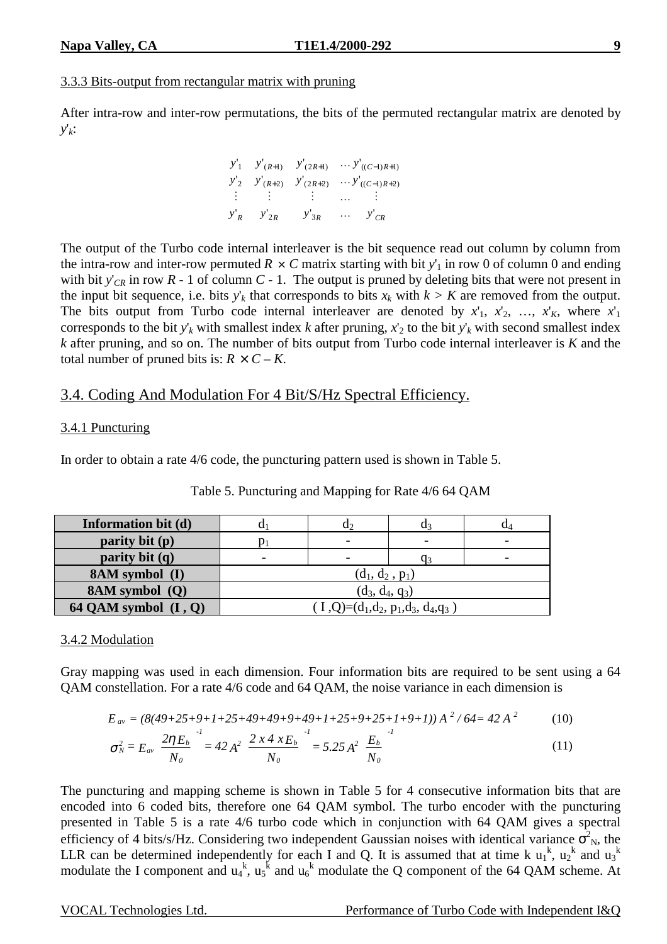## 3.3.3 Bits-output from rectangular matrix with pruning

After intra-row and inter-row permutations, the bits of the permuted rectangular matrix are denoted by *y*'*k*:

> $\overline{\phantom{a}}$  $\overline{\phantom{a}}$  $\overline{\phantom{a}}$  $\overline{\phantom{a}}$  $\overline{\phantom{a}}$  $\overline{\phantom{a}}$ L L L L  $\mathsf{L}% _{0}\left( \mathcal{N}\right)$ L  $-1)R+$  $-1)R+$  $+2)$   $\frac{y}{2R+}$ +1)  $J(2R+$ *CR C R C R R R R*  $R+2$ )  $\frac{y}{2R}$ *R*+1)  $\frac{y}{2R}$ *y y y*  $y'_{R}$   $y'_{2R}$  *y*  $y'_2$   $y'_{(R+2)}$  *y*  $y'_1$  *y*  $y'_{(R+1)}$  *y* '' '  $v'_{\alpha}$   $v'_{\alpha}$   $v'$  $v'$   $v'$ <sub> $v'$ </sub>  $v'$  $v'_{\ell}$   $v'_{\ell}$   $v'$  $((C-1)R+2)$  $((C-1)R+1)$ 2R  $y_3$ 2  $\mathcal{Y}(R+2)$   $\mathcal{Y}(2R+2)$ 1  $\mathcal{Y}(R+1)$   $\mathcal{Y}(2R+1)$ " . . .  $\mathbf{r} = \mathbf{r} \cdot \mathbf{r}$  . The set of  $\mathbf{r} = \mathbf{r} \cdot \mathbf{r}$ ... . . .

The output of the Turbo code internal interleaver is the bit sequence read out column by column from the intra-row and inter-row permuted  $R \times C$  matrix starting with bit  $y'_1$  in row 0 of column 0 and ending with bit  $y'_{CR}$  in row  $R - 1$  of column  $C - 1$ . The output is pruned by deleting bits that were not present in the input bit sequence, i.e. bits  $y'_k$  that corresponds to bits  $x_k$  with  $k > K$  are removed from the output. The bits output from Turbo code internal interleaver are denoted by  $x'_1$ ,  $x'_2$ , …,  $x'_K$ , where  $x'_1$ corresponds to the bit  $y'_k$  with smallest index *k* after pruning,  $x'_2$  to the bit  $y'_k$  with second smallest index *k* after pruning, and so on. The number of bits output from Turbo code internal interleaver is *K* and the total number of pruned bits is:  $R \times C - K$ .

# 3.4. Coding And Modulation For 4 Bit/S/Hz Spectral Efficiency.

## 3.4.1 Puncturing

In order to obtain a rate 4/6 code, the puncturing pattern used is shown in Table 5.

| <b>Information bit (d)</b> |                                   | u۶                       | u٩ | U4 |  |  |  |
|----------------------------|-----------------------------------|--------------------------|----|----|--|--|--|
| parity bit $(p)$           |                                   | $\overline{\phantom{0}}$ |    |    |  |  |  |
| parity bit $(q)$           |                                   |                          |    |    |  |  |  |
| <b>8AM</b> symbol (I)      | $(d_1, d_2, p_1)$                 |                          |    |    |  |  |  |
| 8AM symbol (Q)             | $(d_3, d_4, q_3)$                 |                          |    |    |  |  |  |
| 64 QAM symbol $(I, Q)$     | $(I,Q)=(d_1,d_2,p_1,d_3,d_4,q_3)$ |                          |    |    |  |  |  |

| Table 5. Puncturing and Mapping for Rate 4/6 64 QAM |  |
|-----------------------------------------------------|--|
|-----------------------------------------------------|--|

#### 3.4.2 Modulation

Gray mapping was used in each dimension. Four information bits are required to be sent using a 64 QAM constellation. For a rate 4/6 code and 64 QAM, the noise variance in each dimension is

$$
E_{av} = (8(49+25+9+1+25+49+49+9+49+1+25+9+25+1+9+1))A^2/64 = 42A^2
$$
 (10)

$$
\sigma_N^2 = E_{av} \left( \frac{2 \eta E_b}{N_o} \right)^1 = 42 A^2 \left( \frac{2 x 4 x E_b}{N_o} \right)^1 = 5.25 A^2 \left( \frac{E_b}{N_o} \right)^1 \tag{11}
$$

The puncturing and mapping scheme is shown in Table 5 for 4 consecutive information bits that are encoded into 6 coded bits, therefore one 64 QAM symbol. The turbo encoder with the puncturing presented in Table 5 is a rate 4/6 turbo code which in conjunction with 64 QAM gives a spectral efficiency of 4 bits/s/Hz. Considering two independent Gaussian noises with identical variance  $\sigma_N^2$ , the LLR can be determined independently for each I and Q. It is assumed that at time k  $u_1^k$ ,  $u_2^k$  and  $u_3^k$ modulate the I component and  $u_4^k$ ,  $u_5^k$  and  $u_6^k$  modulate the Q component of the 64 QAM scheme. At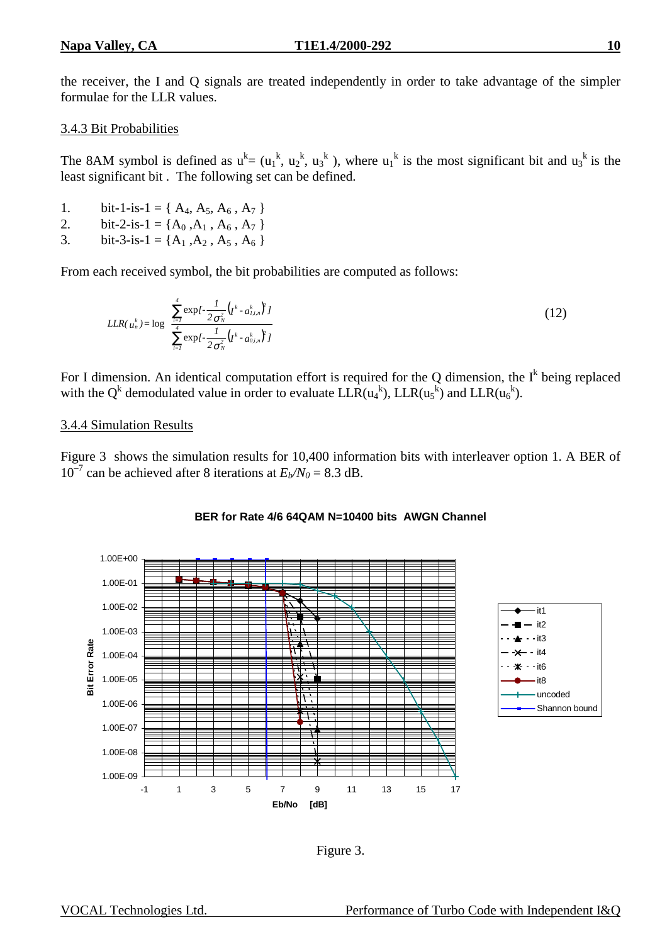the receiver, the I and Q signals are treated independently in order to take advantage of the simpler formulae for the LLR values.

## 3.4.3 Bit Probabilities

The 8AM symbol is defined as  $u^k = (u_1^k, u_2^k, u_3^k)$ , where  $u_1^k$  is the most significant bit and  $u_3^k$  is the least significant bit . The following set can be defined.

- 1. bit-1-is-1 = { $A_4$ ,  $A_5$ ,  $A_6$ ,  $A_7$ }
- 2. bit-2-is-1 = { $A_0$ , $A_1$ ,  $A_6$ ,  $A_7$ }
- 3. bit-3-is-1 = { $A_1$ , $A_2$ ,  $A_5$ ,  $A_6$ }

From each received symbol, the bit probabilities are computed as follows:

$$
LLR(u_n^k) = \log \left( \frac{\sum_{i=1}^4 \exp \left\{ -\frac{1}{2\sigma_N^2} \left( I^k - a_{i,i,n}^k \right)^2 \right\}}{\sum_{i=1}^4 \exp \left\{ -\frac{1}{2\sigma_N^2} \left( I^k - a_{0,i,n}^k \right)^2 \right\}} \right)
$$
(12)

For I dimension. An identical computation effort is required for the Q dimension, the  $I^k$  being replaced with the Q<sup>k</sup> demodulated value in order to evaluate  $LLR(u_4^k)$ ,  $LLR(u_5^k)$  and  $LLR(u_6^k)$ .

## 3.4.4 Simulation Results

Figure 3 shows the simulation results for 10,400 information bits with interleaver option 1. A BER of  $10^{-7}$  can be achieved after 8 iterations at  $E_b/N_0 = 8.3$  dB.



#### **BER for Rate 4/6 64QAM N=10400 bits AWGN Channel**

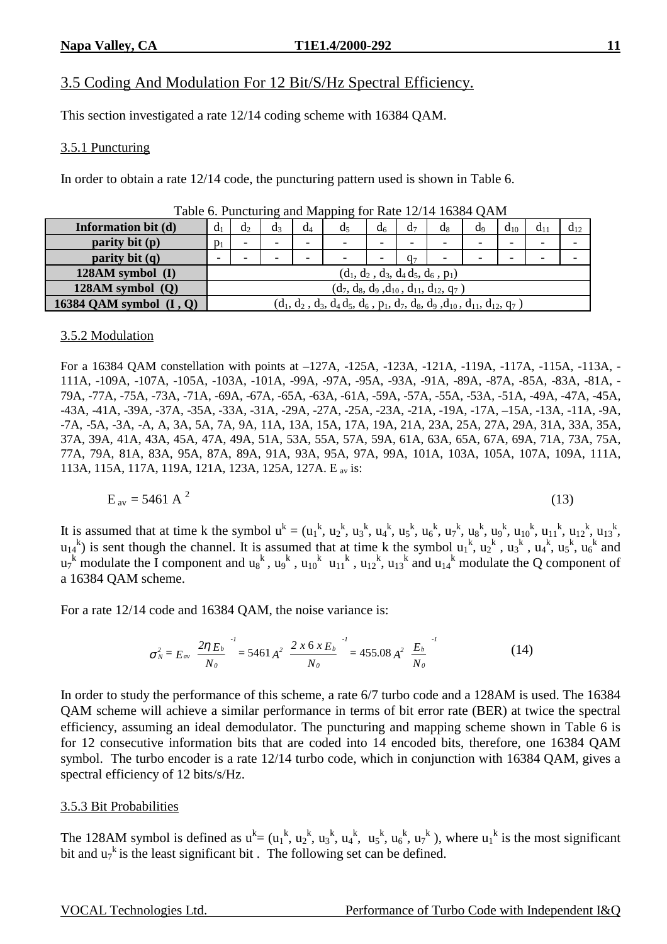# 3.5 Coding And Modulation For 12 Bit/S/Hz Spectral Efficiency.

This section investigated a rate 12/14 coding scheme with 16384 QAM.

#### 3.5.1 Puncturing

In order to obtain a rate 12/14 code, the puncturing pattern used is shown in Table 6.

|                           |                |                                                |                          |       | .                                                                               |                          |                          |                                     |                          |          |                          |          |
|---------------------------|----------------|------------------------------------------------|--------------------------|-------|---------------------------------------------------------------------------------|--------------------------|--------------------------|-------------------------------------|--------------------------|----------|--------------------------|----------|
| Information bit (d)       | d <sub>1</sub> | $d_2$                                          | $d_3$                    | $d_4$ | d <sub>5</sub>                                                                  | d <sub>6</sub>           | d <sub>7</sub>           | $\alpha$                            | d <sub>9</sub>           | $d_{10}$ | $d_{11}$                 | $d_{12}$ |
| parity bit (p)            | $p_1$          | $\overline{\phantom{0}}$                       | $\overline{\phantom{a}}$ | -     | -                                                                               | -                        | $\overline{\phantom{0}}$ |                                     | $\overline{\phantom{a}}$ | -        | $\overline{\phantom{0}}$ |          |
| parity bit $(q)$          | -              | -                                              | $\overline{\phantom{a}}$ | -     | $\overline{\phantom{0}}$                                                        | $\overline{\phantom{0}}$ | Q <sub>7</sub>           |                                     | $\overline{\phantom{a}}$ | -        | $\overline{\phantom{0}}$ |          |
| $128AM symbol$ (I)        |                |                                                |                          |       |                                                                                 |                          |                          | $(d_1, d_2, d_3, d_4d_5, d_6, p_1)$ |                          |          |                          |          |
| $128AM$ symbol $(Q)$      |                | $(d_7, d_8, d_9, d_{10}, d_{11}, d_{12}, q_7)$ |                          |       |                                                                                 |                          |                          |                                     |                          |          |                          |          |
| 16384 QAM symbol $(I, Q)$ |                |                                                |                          |       | $(d_1, d_2, d_3, d_4d_5, d_6, p_1, d_7, d_8, d_9, d_{10}, d_{11}, d_{12}, q_7)$ |                          |                          |                                     |                          |          |                          |          |

| Table 6. Puncturing and Mapping for Rate 12/14 16384 QAM |  |  |  |
|----------------------------------------------------------|--|--|--|
|                                                          |  |  |  |

#### 3.5.2 Modulation

For a 16384 QAM constellation with points at –127A, -125A, -123A, -121A, -119A, -117A, -115A, -113A, - 111A, -109A, -107A, -105A, -103A, -101A, -99A, -97A, -95A, -93A, -91A, -89A, -87A, -85A, -83A, -81A, - 79A, -77A, -75A, -73A, -71A, -69A, -67A, -65A, -63A, -61A, -59A, -57A, -55A, -53A, -51A, -49A, -47A, -45A, -43A, -41A, -39A, -37A, -35A, -33A, -31A, -29A, -27A, -25A, -23A, -21A, -19A, -17A, –15A, -13A, -11A, -9A, -7A, -5A, -3A, -A, A, 3A, 5A, 7A, 9A, 11A, 13A, 15A, 17A, 19A, 21A, 23A, 25A, 27A, 29A, 31A, 33A, 35A, 37A, 39A, 41A, 43A, 45A, 47A, 49A, 51A, 53A, 55A, 57A, 59A, 61A, 63A, 65A, 67A, 69A, 71A, 73A, 75A, 77A, 79A, 81A, 83A, 95A, 87A, 89A, 91A, 93A, 95A, 97A, 99A, 101A, 103A, 105A, 107A, 109A, 111A, 113A, 115A, 117A, 119A, 121A, 123A, 125A, 127A. E av is:

$$
E_{av} = 5461 \text{ A}^2 \tag{13}
$$

It is assumed that at time k the symbol  $u^k = (u_1^k, u_2^k, u_3^k, u_4^k, u_5^k, u_6^k, u_7^k, u_8^k, u_9^k, u_{10}^k, u_{11}^k, u_{12}^k, u_{13}^k,$  $u_1^k$  is sent though the channel. It is assumed that at time k the symbol  $u_1^k$ ,  $u_2^k$ ,  $u_3^k$ ,  $u_4^k$ ,  $u_5^k$ ,  $u_6^k$  and  $u_7^k$  modulate the I component and  $u_8^k$ ,  $u_9^k$ ,  $u_{10}^k$   $u_{11}^k$ ,  $u_{12}^k$ ,  $u_{13}^k$  and  $u_{14}^k$  modulate the Q component of a 16384 QAM scheme.

For a rate 12/14 code and 16384 QAM, the noise variance is:

$$
\sigma_N^2 = E_{av} \left( \frac{2 \eta E_b}{N_o} \right)^1 = 5461 A^2 \left( \frac{2 \times 6 \times E_b}{N_o} \right)^1 = 455.08 A^2 \left( \frac{E_b}{N_o} \right)^1 \tag{14}
$$

In order to study the performance of this scheme, a rate 6/7 turbo code and a 128AM is used. The 16384 QAM scheme will achieve a similar performance in terms of bit error rate (BER) at twice the spectral efficiency, assuming an ideal demodulator. The puncturing and mapping scheme shown in Table 6 is for 12 consecutive information bits that are coded into 14 encoded bits, therefore, one 16384 QAM symbol. The turbo encoder is a rate 12/14 turbo code, which in conjunction with 16384 QAM, gives a spectral efficiency of 12 bits/s/Hz.

#### 3.5.3 Bit Probabilities

The 128AM symbol is defined as  $u^k = (u_1^k, u_2^k, u_3^k, u_4^k, u_5^k, u_6^k, u_7^k)$ , where  $u_1^k$  is the most significant bit and  $u_7^k$  is the least significant bit. The following set can be defined.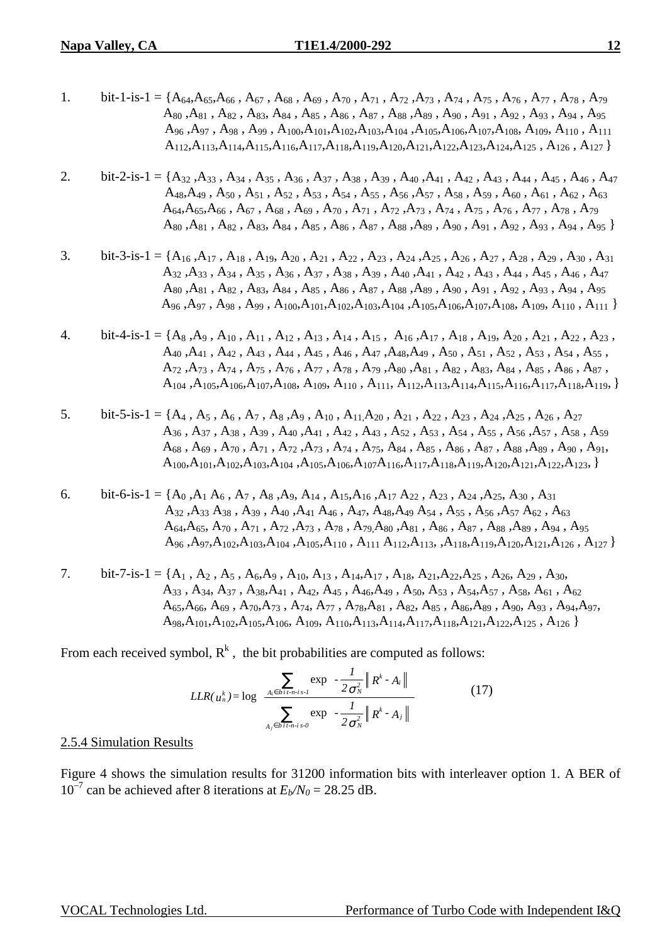- 1. bit-1-is-1 = { $A_{64}$ , $A_{65}$ , $A_{66}$ ,  $A_{67}$ ,  $A_{68}$ ,  $A_{69}$ ,  $A_{70}$ ,  $A_{71}$ ,  $A_{72}$ ,  $A_{73}$ ,  $A_{74}$ ,  $A_{75}$ ,  $A_{76}$ ,  $A_{77}$ ,  $A_{78}$ ,  $A_{79}$  $A_{80}$  , $A_{81}$  ,  $A_{82}$  ,  $A_{83}$ ,  $A_{84}$  ,  $A_{85}$  ,  $A_{86}$  ,  $A_{87}$  ,  $A_{88}$  ,  $A_{89}$  ,  $A_{90}$  ,  $A_{91}$  ,  $A_{92}$  ,  $A_{93}$  ,  $A_{94}$  ,  $A_{95}$  $A_{96}$ ,  $A_{97}$ ,  $A_{98}$ ,  $A_{99}$ ,  $A_{100}$ ,  $A_{101}$ ,  $A_{102}$ ,  $A_{103}$ ,  $A_{104}$ ,  $A_{105}$ ,  $A_{106}$ ,  $A_{107}$ ,  $A_{108}$ ,  $A_{109}$ ,  $A_{110}$ ,  $A_{111}$  $A_{112}A_{113}A_{114}A_{115}A_{116}A_{117}A_{118}A_{119}A_{120}A_{121}A_{122}A_{123}A_{124}A_{125}$ ,  $A_{126}$ ,  $A_{127}$
- 2. bit-2-is-1 = {A<sub>32</sub>,A<sub>33</sub>, A<sub>34</sub>, A<sub>35</sub>, A<sub>36</sub>, A<sub>37</sub>, A<sub>38</sub>, A<sub>39</sub>, A<sub>40</sub>,A<sub>41</sub>, A<sub>42</sub>, A<sub>43</sub>, A<sub>44</sub>, A<sub>45</sub>, A<sub>46</sub>, A<sub>47</sub>  $A_{48},A_{49}$ ,  $A_{50}$ ,  $A_{51}$ ,  $A_{52}$ ,  $A_{53}$ ,  $A_{54}$ ,  $A_{55}$ ,  $A_{56}$ ,  $A_{57}$ ,  $A_{58}$ ,  $A_{59}$ ,  $A_{60}$ ,  $A_{61}$ ,  $A_{62}$ ,  $A_{63}$  $A_{64},A_{65},A_{66}$  ,  $A_{67}$  ,  $A_{68}$  ,  $A_{69}$  ,  $A_{70}$  ,  $A_{71}$  ,  $A_{72}$  ,  $A_{73}$  ,  $A_{74}$  ,  $A_{75}$  ,  $A_{76}$  ,  $A_{77}$  ,  $A_{78}$  ,  $A_{79}$  $A_{80}$ ,  $A_{81}$ ,  $A_{82}$ ,  $A_{83}$ ,  $A_{84}$ ,  $A_{85}$ ,  $A_{86}$ ,  $A_{87}$ ,  $A_{88}$ ,  $A_{89}$ ,  $A_{90}$ ,  $A_{91}$ ,  $A_{92}$ ,  $A_{93}$ ,  $A_{94}$ ,  $A_{95}$
- 3. bit-3-is-1 = { $A_{16}$ , $A_{17}$ ,  $A_{18}$ ,  $A_{19}$ ,  $A_{20}$ ,  $A_{21}$ ,  $A_{22}$ ,  $A_{23}$ ,  $A_{24}$ , $A_{25}$ ,  $A_{26}$ ,  $A_{27}$ ,  $A_{28}$ ,  $A_{29}$ ,  $A_{30}$ ,  $A_{31}$  A32 ,A33 , A34 , A35 , A36 , A37 , A38 , A39 , A40 ,A41 , A42 , A43 , A44 , A45 , A46 , A47  $A_{80}$ ,  $A_{81}$ ,  $A_{82}$ ,  $A_{83}$ ,  $A_{84}$ ,  $A_{85}$ ,  $A_{86}$ ,  $A_{87}$ ,  $A_{88}$ ,  $A_{89}$ ,  $A_{90}$ ,  $A_{91}$ ,  $A_{92}$ ,  $A_{93}$ ,  $A_{94}$ ,  $A_{95}$ A96 ,A97 , A98 , A99 , A100,A101,A102,A103,A104 ,A105,A106,A107,A108, A109, A110 , A111 }
- 4. bit-4-is-1 = {A<sub>8</sub>,A<sub>9</sub>, A<sub>10</sub>, A<sub>11</sub>, A<sub>12</sub>, A<sub>13</sub>, A<sub>14</sub>, A<sub>15</sub>, A<sub>16</sub>, A<sub>17</sub>, A<sub>18</sub>, A<sub>29</sub>, A<sub>20</sub>, A<sub>21</sub>, A<sub>22</sub>, A<sub>23</sub>,  $A_{40}$ ,  $A_{41}$ ,  $A_{42}$ ,  $A_{43}$ ,  $A_{44}$ ,  $A_{45}$ ,  $A_{46}$ ,  $A_{47}$ ,  $A_{48}$ ,  $A_{49}$ ,  $A_{50}$ ,  $A_{51}$ ,  $A_{52}$ ,  $A_{53}$ ,  $A_{54}$ ,  $A_{55}$ ,  $A_{72}$ ,  $A_{73}$ ,  $A_{74}$ ,  $A_{75}$ ,  $A_{76}$ ,  $A_{77}$ ,  $A_{78}$ ,  $A_{79}$ ,  $A_{80}$ ,  $A_{81}$ ,  $A_{82}$ ,  $A_{83}$ ,  $A_{84}$ ,  $A_{85}$ ,  $A_{86}$ ,  $A_{87}$ ,  $A_{104}$ , $A_{105}$ , $A_{105}$ , $A_{107}$ , $A_{108}$ ,  $A_{109}$ ,  $A_{110}$ ,  $A_{111}$ ,  $A_{112}$ , $A_{113}$ , $A_{114}$ , $A_{115}$ , $A_{116}$ , $A_{117}$ , $A_{118}$ , $A_{119}$ , }
- 5. bit-5-is-1 = {A<sub>4</sub>, A<sub>5</sub>, A<sub>6</sub>, A<sub>7</sub>, A<sub>8</sub>, A<sub>9</sub>, A<sub>10</sub>, A<sub>11</sub>, A<sub>20</sub>, A<sub>21</sub>, A<sub>22</sub>, A<sub>23</sub>, A<sub>24</sub>, A<sub>25</sub>, A<sub>26</sub>, A<sub>27</sub>  $A_{36}$  ,  $A_{37}$  ,  $A_{38}$  ,  $A_{39}$  ,  $A_{40}$  ,  $A_{41}$  ,  $A_{42}$  ,  $A_{43}$  ,  $A_{52}$  ,  $A_{53}$  ,  $A_{54}$  ,  $A_{55}$  ,  $A_{56}$  ,  $A_{57}$  ,  $A_{58}$  ,  $A_{59}$  $A_{68}$ ,  $A_{69}$ ,  $A_{70}$ ,  $A_{71}$ ,  $A_{72}$ ,  $A_{73}$ ,  $A_{74}$ ,  $A_{75}$ ,  $A_{84}$ ,  $A_{85}$ ,  $A_{86}$ ,  $A_{87}$ ,  $A_{88}$ ,  $A_{89}$ ,  $A_{90}$ ,  $A_{91}$ ,  $A_{100},A_{101},A_{102},A_{103},A_{104},A_{105},A_{106},A_{107}A_{116},A_{117},A_{118},A_{119},A_{120},A_{121},A_{122},A_{123},\}$
- 6. bit-6-is-1 = {A<sub>0</sub>, A<sub>1</sub> A<sub>6</sub>, A<sub>7</sub>, A<sub>8</sub>, A<sub>9</sub>, A<sub>14</sub>, A<sub>15</sub>, A<sub>16</sub>, A<sub>17</sub> A<sub>22</sub>, A<sub>23</sub>, A<sub>24</sub>, A<sub>25</sub>, A<sub>30</sub>, A<sub>31</sub>  $A_{32}$ ,  $A_{33}$ ,  $A_{38}$ ,  $A_{39}$ ,  $A_{40}$ ,  $A_{41}$ ,  $A_{46}$ ,  $A_{47}$ ,  $A_{48}$ ,  $A_{49}$ ,  $A_{54}$ ,  $A_{55}$ ,  $A_{56}$ ,  $A_{57}$ ,  $A_{62}$ ,  $A_{63}$  $A_{64}A_{65}$ ,  $A_{70}$ ,  $A_{71}$ ,  $A_{72}$ ,  $A_{73}$ ,  $A_{78}$ ,  $A_{79}A_{80}$ ,  $A_{81}$ ,  $A_{86}$ ,  $A_{87}$ ,  $A_{88}$ ,  $A_{89}$ ,  $A_{94}$ ,  $A_{95}$  $A_{96}$ ,  $A_{97}A_{102}$ ,  $A_{103}$ ,  $A_{104}$ ,  $A_{105}$ ,  $A_{110}$ ,  $A_{111}$ ,  $A_{112}$ ,  $A_{113}$ ,  $A_{118}$ ,  $A_{119}$ ,  $A_{120}$ ,  $A_{121}$ ,  $A_{126}$ ,  $A_{127}$
- 7. bit-7-is-1 = {A<sub>1</sub>, A<sub>2</sub>, A<sub>5</sub>, A<sub>6</sub>,A<sub>9</sub>, A<sub>10</sub>, A<sub>13</sub>, A<sub>14</sub>,A<sub>17</sub>, A<sub>18</sub>, A<sub>21</sub>,A<sub>22</sub>,A<sub>25</sub>, A<sub>26</sub>, A<sub>29</sub>, A<sub>30</sub>, A33 , A34, A37 , A38,A41 , A42, A45 , A46,A49 , A50, A53 , A54,A57 , A58, A61 , A62  $A_{65}$ , $A_{66}$ ,  $A_{69}$ ,  $A_{70}$ , $A_{73}$ ,  $A_{74}$ ,  $A_{77}$ ,  $A_{78}$ , $A_{81}$ ,  $A_{82}$ ,  $A_{85}$ ,  $A_{86}$ , $A_{89}$ ,  $A_{90}$ ,  $A_{93}$ ,  $A_{94}$ , $A_{97}$ ,  $A_{98}A_{101}A_{102}A_{105}A_{106}A_{109}A_{110}A_{113}A_{114}A_{117}A_{118}A_{121}A_{122}A_{125}A_{126}$

From each received symbol,  $R^k$ , the bit probabilities are computed as follows:

$$
LLR(u_n^k) = \log \left( \frac{\sum_{A_i \in b \, i \cdot n \cdot i \cdot s \cdot l} \exp \left( -\frac{l}{2 \sigma_N^2} \left\| R^k \cdot A_i \right\| \right)}{\sum_{A_j \in b \, i \cdot n \cdot i \cdot s \cdot 0} \exp \left( -\frac{l}{2 \sigma_N^2} \left\| R^k \cdot A_j \right\| \right)} \right)
$$
(17)

#### 2.5.4 Simulation Results

Figure 4 shows the simulation results for 31200 information bits with interleaver option 1. A BER of  $10^{-7}$  can be achieved after 8 iterations at  $E_b/N_0 = 28.25$  dB.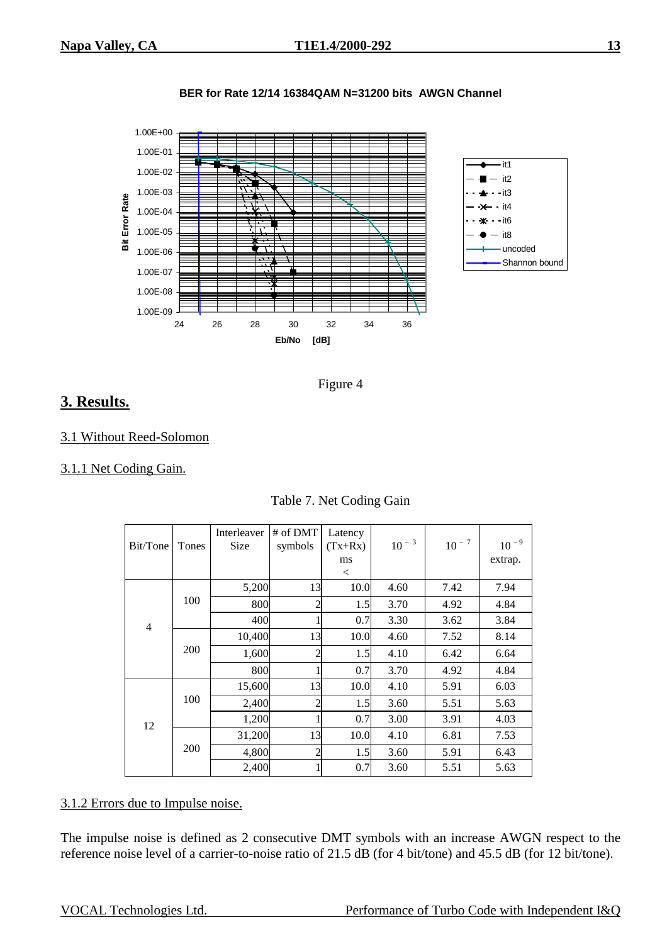



Figure 4

# **3. Results.**

#### 3.1 Without Reed-Solomon

#### 3.1.1 Net Coding Gain.

| Bit/Tone       | Tones      | Interleaver<br>Size | # of DMT<br>symbols | Latency<br>$(Tx+Rx)$<br>ms<br>$\,<\,$ | $10^{-3}$ | $10^{-7}$ | $10^{-9}$<br>extrap. |
|----------------|------------|---------------------|---------------------|---------------------------------------|-----------|-----------|----------------------|
|                |            | 5,200               | 13                  | 10.0                                  | 4.60      | 7.42      | 7.94                 |
|                | 100        | 800                 | 2                   | 1.5                                   | 3.70      | 4.92      | 4.84                 |
| $\overline{4}$ |            | 400                 |                     | 0.7                                   | 3.30      | 3.62      | 3.84                 |
|                | 200        | 10,400              | 13                  | 10.0                                  | 4.60      | 7.52      | 8.14                 |
|                |            | 1,600               | $\overline{c}$      | 1.5                                   | 4.10      | 6.42      | 6.64                 |
|                |            | 800                 |                     | 0.7                                   | 3.70      | 4.92      | 4.84                 |
|                |            | 15,600              | 13                  | 10.0                                  | 4.10      | 5.91      | 6.03                 |
|                | 100        | 2,400               |                     | 1.5                                   | 3.60      | 5.51      | 5.63                 |
| 12             |            | 1,200               |                     | 0.7                                   | 3.00      | 3.91      | 4.03                 |
|                |            | 31,200              | 13                  | 10.0                                  | 4.10      | 6.81      | 7.53                 |
|                | <b>200</b> | 4,800               | $\overline{2}$      | 1.5                                   | 3.60      | 5.91      | 6.43                 |
|                |            | 2,400               |                     | 0.7                                   | 3.60      | 5.51      | 5.63                 |

#### Table 7. Net Coding Gain

## 3.1.2 Errors due to Impulse noise.

The impulse noise is defined as 2 consecutive DMT symbols with an increase AWGN respect to the reference noise level of a carrier-to-noise ratio of 21.5 dB (for 4 bit/tone) and 45.5 dB (for 12 bit/tone).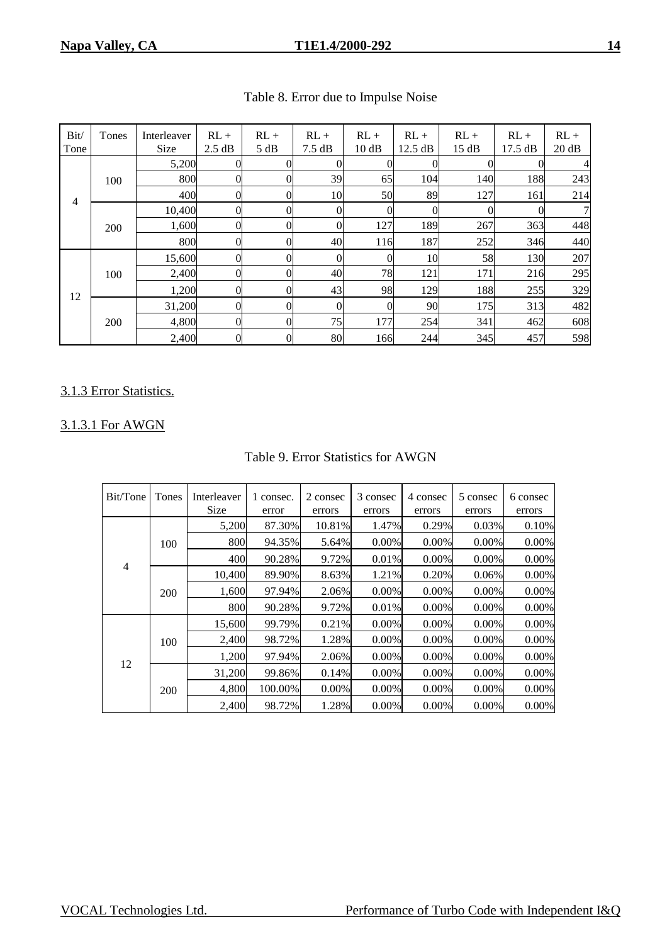| Bit/<br>Tone   | Tones | Interleaver<br>Size | $RL +$<br>2.5 dB | $RL +$<br>5 dB | $RL +$<br>$7.5 \text{ dB}$ | $RL +$<br>10 dB | $RL +$<br>12.5 dB | $RL +$<br>15 dB | $RL +$<br>17.5 dB | $RL +$<br>20 dB |
|----------------|-------|---------------------|------------------|----------------|----------------------------|-----------------|-------------------|-----------------|-------------------|-----------------|
|                |       | 5,200               |                  |                |                            |                 |                   |                 |                   |                 |
|                | 100   | 800                 |                  | O              | 39                         | 65              | 104               | 140             | 188               | 243             |
| $\overline{4}$ |       | 400                 |                  | 0              | 10                         | 50              | 89                | 127             | 161               | 214             |
|                | 200   | 10,400              |                  | 0              |                            | $\theta$        |                   |                 |                   |                 |
|                |       | 1,600               | 0                | $\Omega$       |                            | 127             | 189               | 267             | 363               | 448             |
|                |       | 800                 |                  | 0              | 40                         | 116             | 187               | 252             | 346               | 440             |
|                |       | 15,600              |                  | 0              |                            | $\overline{0}$  | 10                | 58              | 130               | 207             |
|                | 100   | 2,400               | $\Omega$         | $\Omega$       | 40                         | 78              | 121               | 171             | 216               | 295             |
| 12             |       | 1,200               |                  | 0              | 43                         | 98              | 129               | 188             | 255               | 329             |
|                |       | 31,200              |                  | 0              |                            | $\overline{0}$  | 90                | 175             | 313               | 482             |
|                | 200   | 4,800               | 0                | 0              | 75                         | 177             | 254               | 341             | 462               | 608             |
|                |       | 2,400               |                  | $\overline{0}$ | 80                         | 166             | 244               | 345             | 457               | 598             |

# Table 8. Error due to Impulse Noise

## 3.1.3 Error Statistics.

## 3.1.3.1 For AWGN

| Bit/Tone       | Tones | Interleaver<br>Size | 1 consec.<br>error | 2 consec<br>errors | 3 consec<br>errors | 4 consec<br>errors | 5 consec<br>errors | 6 consec<br>errors |
|----------------|-------|---------------------|--------------------|--------------------|--------------------|--------------------|--------------------|--------------------|
|                |       | 5,200               | 87.30%             | 10.81%             | 1.47%              | 0.29%              | 0.03%              | 0.10%              |
| $\overline{4}$ | 100   | 800                 | 94.35%             | 5.64%              | $0.00\%$           | $0.00\%$           | $0.00\%$           | 0.00%              |
|                |       | 400                 | 90.28%             | 9.72%              | 0.01%              | 0.00%              | 0.00%              | 0.00%              |
|                | 200   | 10,400              | 89.90%             | 8.63%              | 1.21%              | 0.20%              | 0.06%              | 0.00%              |
|                |       | 1,600               | 97.94%             | 2.06%              | $0.00\%$           | $0.00\%$           | 0.00%              | 0.00%              |
|                |       | 800                 | 90.28%             | 9.72%              | 0.01%              | 0.00%              | 0.00%              | 0.00%              |
|                |       | 15.600              | 99.79%             | 0.21%              | $0.00\%$           | $0.00\%$           | $0.00\%$           | 0.00%              |
|                | 100   | 2,400               | 98.72%             | 1.28%              | $0.00\%$           | $0.00\%$           | 0.00%              | 0.00%              |
|                |       | 1,200               | 97.94%             | 2.06%              | 0.00%              | 0.00%              | $0.00\%$           | 0.00%              |
| 12             |       | 31,200              | 99.86%             | 0.14%              | $0.00\%$           | $0.00\%$           | $0.00\%$           | 0.00%              |
|                | 200   | 4,800               | 100.00%            | 0.00%              | $0.00\%$           | $0.00\%$           | $0.00\%$           | 0.00%              |
|                |       | 2,400               | 98.72%             | 1.28%              | 0.00%              | $0.00\%$           | 0.00%              | 0.00%              |

#### Table 9. Error Statistics for AWGN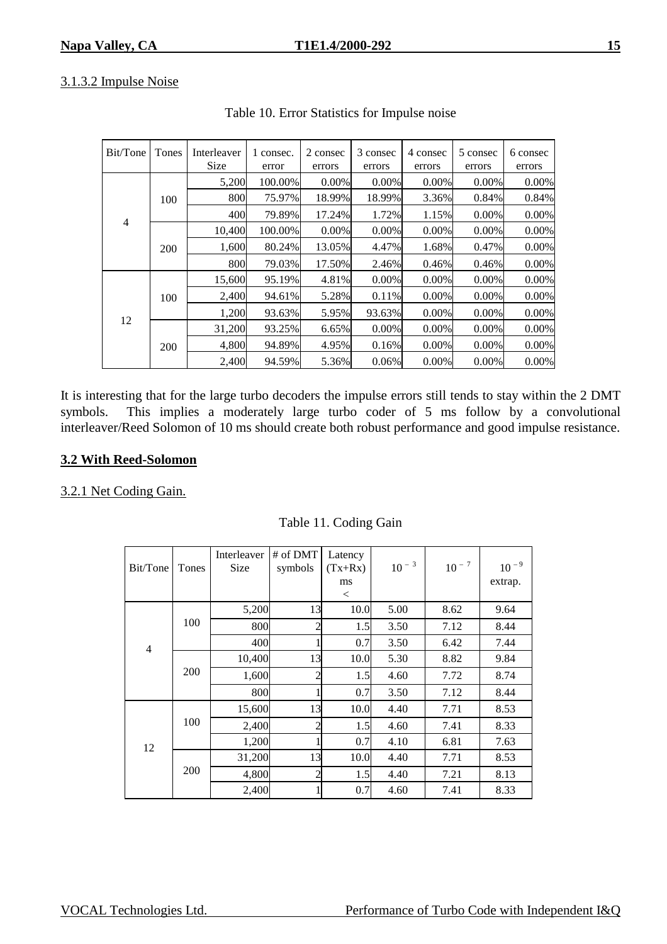## 3.1.3.2 Impulse Noise

| Bit/Tone       | Tones<br>Interleaver |        | 1 consec.<br>error | 2 consec<br>errors | 3 consec<br>errors | 4 consec<br>errors | 5 consec<br>errors | 6 consec<br>errors |
|----------------|----------------------|--------|--------------------|--------------------|--------------------|--------------------|--------------------|--------------------|
| $\overline{4}$ | 100                  | 5,200  | 100.00%            | $0.00\%$           | $0.00\%$           | 0.00%              | 0.00%              | 0.00%              |
|                |                      | 800    | 75.97%             | 18.99%             | 18.99%             | 3.36%              | 0.84%              | 0.84%              |
|                |                      | 400    | 79.89%             | 17.24%             | 1.72%              | 1.15%              | 0.00%              | 0.00%              |
|                | 200                  | 10.400 | 100.00%            | $0.00\%$           | $0.00\%$           | $0.00\%$           | $0.00\%$           | 0.00%              |
|                |                      | 1,600  | 80.24%             | 13.05%             | 4.47%              | 1.68%              | 0.47%              | 0.00%              |
|                |                      | 800    | 79.03%             | 17.50%             | 2.46%              | 0.46%              | 0.46%              | 0.00%              |
| 12             | 100                  | 15.600 | 95.19%             | 4.81%              | $0.00\%$           | $0.00\%$           | $0.00\%$           | 0.00%              |
|                |                      | 2,400  | 94.61%             | 5.28%              | 0.11%              | 0.00%              | 0.00%              | 0.00%              |
|                |                      | 1,200  | 93.63%             | 5.95%              | 93.63%             | 0.00%              | 0.00%              | 0.00%              |
|                | 200                  | 31,200 | 93.25%             | 6.65%              | 0.00%              | $0.00\%$           | $0.00\%$           | 0.00%              |
|                |                      | 4,800  | 94.89%             | 4.95%              | 0.16%              | $0.00\%$           | 0.00%              | 0.00%              |
|                |                      | 2,400  | 94.59%             | 5.36%              | 0.06%              | $0.00\%$           | 0.00%              | 0.00%              |

Table 10. Error Statistics for Impulse noise

It is interesting that for the large turbo decoders the impulse errors still tends to stay within the 2 DMT symbols. This implies a moderately large turbo coder of 5 ms follow by a convolutional interleaver/Reed Solomon of 10 ms should create both robust performance and good impulse resistance.

## **3.2 With Reed-Solomon**

#### 3.2.1 Net Coding Gain.

| Bit/Tone       | Tones | Interleaver<br><b>Size</b> | # of DMT<br>symbols | Latency<br>$(Tx+Rx)$<br>ms<br>$\,<\,$ | $10^{-3}$ | $10^{-7}$ | $10^{-9}$<br>extrap. |
|----------------|-------|----------------------------|---------------------|---------------------------------------|-----------|-----------|----------------------|
| $\overline{4}$ |       | 5,200                      | 13                  | 10.0                                  | 5.00      | 8.62      | 9.64                 |
|                | 100   | 800                        | 2                   | 1.5                                   | 3.50      | 7.12      | 8.44                 |
|                |       | 400                        |                     | 0.7                                   | 3.50      | 6.42      | 7.44                 |
|                | 200   | 10,400                     | 13                  | 10.0                                  | 5.30      | 8.82      | 9.84                 |
|                |       | 1,600                      | $\mathfrak{D}$      | 1.5                                   | 4.60      | 7.72      | 8.74                 |
|                |       | 800                        |                     | 0.7                                   | 3.50      | 7.12      | 8.44                 |
| 12             |       | 15,600                     | 13                  | 10.0                                  | 4.40      | 7.71      | 8.53                 |
|                | 100   | 2,400                      |                     | 1.5                                   | 4.60      | 7.41      | 8.33                 |
|                |       | 1,200                      |                     | 0.7                                   | 4.10      | 6.81      | 7.63                 |
|                | 200   | 31,200                     | 13                  | 10.0                                  | 4.40      | 7.71      | 8.53                 |
|                |       | 4,800                      | $\overline{2}$      | 1.5                                   | 4.40      | 7.21      | 8.13                 |
|                |       | 2,400                      |                     | 0.7                                   | 4.60      | 7.41      | 8.33                 |

Table 11. Coding Gain